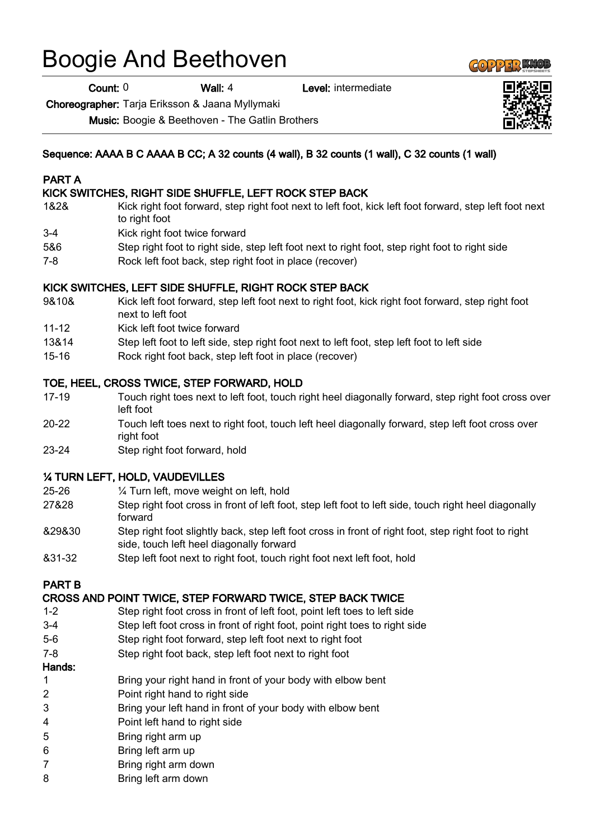# Boogie And Beethoven

Count: 0 Wall: 4 Level: intermediate

Choreographer: Tarja Eriksson & Jaana Myllymaki

Music: Boogie & Beethoven - The Gatlin Brothers

# Sequence: AAAA B C AAAA B CC; A 32 counts (4 wall), B 32 counts (1 wall), C 32 counts (1 wall)

#### PART A

# KICK SWITCHES, RIGHT SIDE SHUFFLE, LEFT ROCK STEP BACK

- 1&2& Kick right foot forward, step right foot next to left foot, kick left foot forward, step left foot next to right foot
- 3-4 Kick right foot twice forward
- 5&6 Step right foot to right side, step left foot next to right foot, step right foot to right side
- 7-8 Rock left foot back, step right foot in place (recover)

# KICK SWITCHES, LEFT SIDE SHUFFLE, RIGHT ROCK STEP BACK

- 9&10& Kick left foot forward, step left foot next to right foot, kick right foot forward, step right foot next to left foot
- 11-12 Kick left foot twice forward
- 13&14 Step left foot to left side, step right foot next to left foot, step left foot to left side
- 15-16 Rock right foot back, step left foot in place (recover)

# TOE, HEEL, CROSS TWICE, STEP FORWARD, HOLD

- 17-19 Touch right toes next to left foot, touch right heel diagonally forward, step right foot cross over left foot
- 20-22 Touch left toes next to right foot, touch left heel diagonally forward, step left foot cross over right foot
- 23-24 Step right foot forward, hold

# ¼ TURN LEFT, HOLD, VAUDEVILLES

- 25-26 ¼ Turn left, move weight on left, hold
- 27&28 Step right foot cross in front of left foot, step left foot to left side, touch right heel diagonally forward
- &29&30 Step right foot slightly back, step left foot cross in front of right foot, step right foot to right side, touch left heel diagonally forward
- &31-32 Step left foot next to right foot, touch right foot next left foot, hold

# PART B

#### CROSS AND POINT TWICE, STEP FORWARD TWICE, STEP BACK TWICE

- 1-2 Step right foot cross in front of left foot, point left toes to left side
- 3-4 Step left foot cross in front of right foot, point right toes to right side
- 5-6 Step right foot forward, step left foot next to right foot
- 7-8 Step right foot back, step left foot next to right foot

#### Hands:

- 1 Bring your right hand in front of your body with elbow bent
- 2 Point right hand to right side
- 3 Bring your left hand in front of your body with elbow bent
- 4 Point left hand to right side
- 5 Bring right arm up
- 6 Bring left arm up
- 7 Bring right arm down
- 8 Bring left arm down